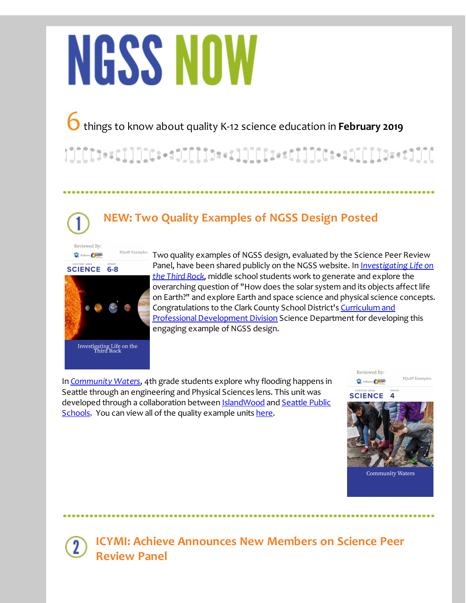# NGSS NOW

6things to know about quality K-12 science education in **February <sup>2019</sup>**

## **NEW: Two Quality Examples of NGSS Design Posted**

Reviewed By: Achieve SCIENCE



 $\operatorname{\mathsf{EQuIP}}$ Examples

Two quality examples of NGSS design, evaluated by the Science Peer Review Panel, have been shared publicly on the NGSS website. In I*[nvestigating](http://r20.rs6.net/tn.jsp?f=001QZ9mZE7unBm7ZM73NAXcwJjankJNCLrG8ORNrRL3TeKda2mwFmoi4ZJQAktBxw9eHWAVP5h074rbiPrjBOeuRGB-X1UdjY1Dza-pawSym2GZH5E-HFICXaOYCglhsoTyrDG7jvCfHuUquV-VOw-xlpuH3A-MTJ2fFDFraxrfDzrxmU_tq7ScO8An8aQmqq8mv1hGIBbQOO8c5zoXPDvKTMy-710aIcSY8zFoxlPFDNpgNyJS8m3-1p_BoF4Q22uq&c=&ch=) Life on the Third Rock*, middle school students work to generate and explore the overarching question of "How does the solar system and its objects affect life on Earth?" and explore Earth and space science and physical science concepts. [Congratulations](http://r20.rs6.net/tn.jsp?f=001QZ9mZE7unBm7ZM73NAXcwJjankJNCLrG8ORNrRL3TeKda2mwFmoi4aMl44uFhA-yT0ylCAFEgAz4nfqreMmfrjNmHvUqtynWwCy_FKTEsnzagYVyY4w-fiwQH3UP882TZqjSxzxZcNpQFK1EDKbN9eb5qX7TugBneT3qmv4cW-8Br3nbxX4_GIhoYmLuP5Po5503qnhWeq_NPTSvro8QeAu4ahri79Gj9b5Tp4G5h98=&c=&ch=) to the Clark County School District's Curriculum and Professional Development Division Science Department for developing this engaging example of NGSS design.

In *[Community](http://r20.rs6.net/tn.jsp?f=001QZ9mZE7unBm7ZM73NAXcwJjankJNCLrG8ORNrRL3TeKda2mwFmoi4aMl44uFhA-yWrYVBAvjrRS0JxBGTayvNc75GEMbWfFka_bCcdCoTyohCDdT16N8e6WmGO_OQWqj7WdvbHh6I1RnZ9-Ezxxec4lQtujI6fEav-YOvPW-eX2_39fMcXGRJR8MhVTQXMk8wwTj5QduwhVwOOzGX2kpY2HJnLvFLyrdSR8DysIhKac=&c=&ch=) Waters*, 4th grade students explore why flooding happens in Seattle through an engineering and Physical Sciences lens. This unit was developed through a [collaboration](http://r20.rs6.net/tn.jsp?f=001QZ9mZE7unBm7ZM73NAXcwJjankJNCLrG8ORNrRL3TeKda2mwFmoi4aMl44uFhA-yL0O0l2HY2QmGB2GdpPMVnQ1AleTttu-z4V7I0jSVPofw1GddxHw4vrTR8ILZgQWse5NhU68GujcH_EUWsl5mX7TMOKTSUevd5gMaHYFtMCV_jLpvii-3wQ==&c=&ch=) between [IslandWood](http://r20.rs6.net/tn.jsp?f=001QZ9mZE7unBm7ZM73NAXcwJjankJNCLrG8ORNrRL3TeKda2mwFmoi4aMl44uFhA-y_-I8500N-HA0OwFrhI1BIPcX-6eCySAHc5hrEFzD3qWUk-Qs6BP7FyrIuMeSDslJLzoMLqt-NWhIS9c5F2uvOZMTtEwJqleUiER9bv9axK8=&c=&ch=) and Seattle Public Schools. You can view all of the quality example units [here](http://r20.rs6.net/tn.jsp?f=001QZ9mZE7unBm7ZM73NAXcwJjankJNCLrG8ORNrRL3TeKda2mwFmoi4SmobpJ47Q5n5TfMtxeCWKMuoZDPh0lQY25koWHgc2CZnEHSYOMMSPemloevkW_5oI_xKszVwjOT57QReXpr2u-ulYSdT2_730p1ZtMnnjJ9awtAAXgwo-MGCREi6V4hbD1v7xujt3q7Lys5MZdkmS7KVTxWT2aI5_ESCROqfNnoXwVty3_xFSs=&c=&ch=).



**ICYMI: Achieve Announces New Members on Science Peer Review Panel**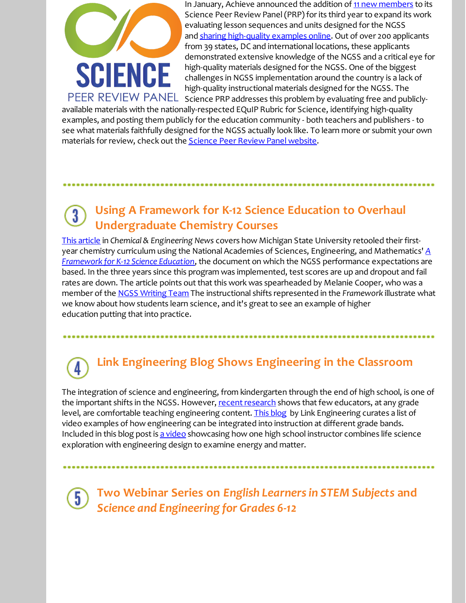

In January, Achieve announced the addition of 11 new [members](http://r20.rs6.net/tn.jsp?f=001QZ9mZE7unBm7ZM73NAXcwJjankJNCLrG8ORNrRL3TeKda2mwFmoi4ZJQAktBxw9eEvpQg-oS-j246Gs_YAGqUqoNE7HwEuxTRfiyVIlAPzlpqf-NdQVa3rPaf6ldNfIK7rPgpwLcK0SbEW5kg-2nYHdMXn91zblEzcm42KULzOLpDpBVtn1iNEkmQYOjXpKRKpzAPbda4F9koR99FliuJU5u_DDawGtx2mCkOnhCeka1QTdkF3NdEA==&c=&ch=) to its Science Peer Review Panel(PRP) for its third year to expand its work evaluating lesson sequences and units designed for the NGSS and sharing [high-quality](http://r20.rs6.net/tn.jsp?f=001QZ9mZE7unBm7ZM73NAXcwJjankJNCLrG8ORNrRL3TeKda2mwFmoi4SmobpJ47Q5n5TfMtxeCWKMuoZDPh0lQY25koWHgc2CZnEHSYOMMSPemloevkW_5oI_xKszVwjOT57QReXpr2u-ulYSdT2_730p1ZtMnnjJ9awtAAXgwo-MGCREi6V4hbD1v7xujt3q7Lys5MZdkmS7KVTxWT2aI5_ESCROqfNnoXwVty3_xFSs=&c=&ch=) examples online. Out of over 200 applicants from 39 states, DC and international locations, these applicants demonstrated extensive knowledge of the NGSS and a critical eye for high-quality materials designed for the NGSS. One of the biggest challenges in NGSS implementation around the country is a lack of high-quality instructional materials designed for the NGSS. The PEER REVIEW PANEL science PRP addresses this problem by evaluating free and publicly-

available materials with the nationally-respected EQuIP Rubric for Science, identifying high-quality examples, and posting them publicly for the education community - both teachers and publishers - to see what materials faithfully designed for the NGSS actually look like. To learn more or submit your own materials for review, check out the **[Science](http://r20.rs6.net/tn.jsp?f=001QZ9mZE7unBm7ZM73NAXcwJjankJNCLrG8ORNrRL3TeKda2mwFmoi4QX1w3GHThRhgSZbDt40ZMshG1wQnB01NVjYIdW_vb61EEKymrqrYOmN94dp9poGJaL5QI3bq_aLcQWhPCqF1rdqbbah4ZIgTt8Ba_LyfSpCjam5tjBV59PsWTRbtn5i-2Xlmdl89inkdAu1GF_Zfj0uEbFOX5rVhaERNbCL_MdIwcwfFcPKSGk0DupADS2QAg==&c=&ch=) Peer Review Panel website**.

#### **Using A Framework for K-12 Science Education to Overhaul**  $\overline{\mathbf{3}}$ **Undergraduate Chemistry Courses**

This [article](http://r20.rs6.net/tn.jsp?f=001QZ9mZE7unBm7ZM73NAXcwJjankJNCLrG8ORNrRL3TeKda2mwFmoi4aMl44uFhA-y2mIsEivyH3_ak7wLLjDPMwz51oclZxYriMbZOpHuahWopwudt4xuAJ_pQk4cNWsRgGd0AiLThLBBuQvoy2XAoPzs57R64QBt_ErxW4aSl9g6pQx4TZ80ZH6tAsIWy7Rs2FWwnxHR6O-OGb_eK54nTTQJPi7QwbrtxI29NY4HZuSAHQ1hstj7FSsuXQS4LUav9a6mqs-QQo4=&c=&ch=) in *Chemical & Engineering News* covers how Michigan State University retooled their firstyear chemistry curriculum using the National Academies of Sciences, Engineering, and [Mathematics'](http://r20.rs6.net/tn.jsp?f=001QZ9mZE7unBm7ZM73NAXcwJjankJNCLrG8ORNrRL3TeKda2mwFmoi4V9TOlMmZtltQS2BlOfDAg-kbjHnXsr1ktBBGO6n3RzY8mNnwNzBOqjJSmtZwGyEo24tmwTt1BbD8mFam6RXO1qlS5VYOyd9yrCHfz36fkXJ4UrjU-3haYFoHxGwYYM_4voto69g41R-rgINw_gXEqMuXziIdVDLInSLVlnPQtqOmFs7VTc8GW2SDJWompAPLlzQogQk39n8ly0MY1YGxSjGcHecEwjBRxuM7mYvMy8z&c=&ch=) *A Framework for K-12 Science Education*, the document on which the NGSS performance expectations are based. In the three years since this program was implemented, test scores are up and dropout and fail rates are down. The article points out that this work was spearheaded by Melanie Cooper, who was a member of the NGSS [Writing](http://r20.rs6.net/tn.jsp?f=001QZ9mZE7unBm7ZM73NAXcwJjankJNCLrG8ORNrRL3TeKda2mwFmoi4aMl44uFhA-yHGsQRTn_DciGtp_mASLTVvnjR7ilZM-EBQ7jlncH_Fo9ZMZ3kd6Nk17gLxAwsvo9gST28KPQ7OKGk7iXtWN5MYaED27WpnHJ98ICw8tUdXiDcuj3o--b_OADbGLcvIj3duiHESpieic=&c=&ch=) Team The instructional shifts represented in the *Framework* illustrate what we know about how students learn science, and it's great to see an example of higher education putting that into practice.

# **Link Engineering Blog Shows Engineering in the Classroom**

The integration of science and engineering, from kindergarten through the end of high school, is one of the important shifts in the NGSS. However, recent research shows that few educators, at any grade level, are comfortable teaching engineering content. This [blog](http://r20.rs6.net/tn.jsp?f=001QZ9mZE7unBm7ZM73NAXcwJjankJNCLrG8ORNrRL3TeKda2mwFmoi4aMl44uFhA-yIFkIBaLhF44YU8P3dkNxNOVLOuk9YTQ7dRj-ae2UrGdsCzxcIlQdGXALKN5J5DjvfZUse7WqjgE_269vU0nncb7OU4I9Es8cRHQRK1nAVgogq3KkRkenD9HfMpuY5OA5MTdeIRkpeWCQciVrqBDgooUl3DBgS0DU&c=&ch=) by Link Engineering curates a list of video examples of how engineering can be integrated into instruction at different grade bands. Included in this blog post is a [video](http://r20.rs6.net/tn.jsp?f=001QZ9mZE7unBm7ZM73NAXcwJjankJNCLrG8ORNrRL3TeKda2mwFmoi4aMl44uFhA-yRYyUphoH3BR0-VuH9UUrq62HhExPhshcSDsvt-xjyMUBtElsN8NSXDRqIxIHFSvUBXy2xo5ZnkBy5CzJkCYLwxqlYqMkJi_XXtmLa95iJohoiplT6OAuTOltj66ASheNE7oFmkfu40TSN9eQtVYricf-0sPeQqhwU_iGvIdNU7-xXnDK97-f5Pk20gBeFnK6&c=&ch=) showcasing how one high school instructor combines life science exploration with engineering design to examine energy and matter.

 $\overline{5}$ 

**Two Webinar Series on** *English Learnersin STEM Subjects* **and** *Science and Engineering for Grades 6-12*